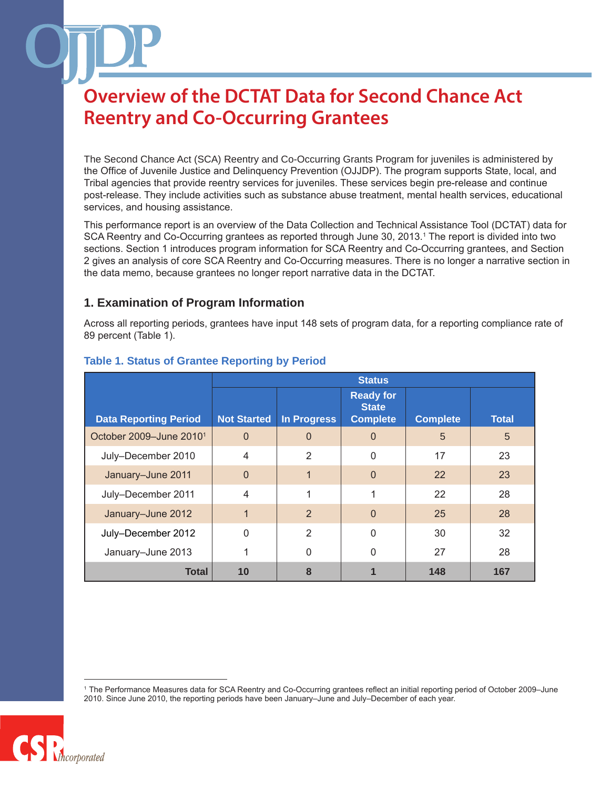The Second Chance Act (SCA) Reentry and Co-Occurring Grants Program for juveniles is administered by the Office of Juvenile Justice and Delinquency Prevention (OJJDP). The program supports State, local, and Tribal agencies that provide reentry services for juveniles. These services begin pre-release and continue post-release. They include activities such as substance abuse treatment, mental health services, educational services, and housing assistance.

This performance report is an overview of the Data Collection and Technical Assistance Tool (DCTAT) data for SCA Reentry and Co-Occurring grantees as reported through June 30, 2013.<sup>1</sup> The report is divided into two sections. Section 1 introduces program information for SCA Reentry and Co-Occurring grantees, and Section 2 gives an analysis of core SCA Reentry and Co-Occurring measures. There is no longer a narrative section in the data memo, because grantees no longer report narrative data in the DCTAT.

### **1. Examination of Program Information**

Across all reporting periods, grantees have input 148 sets of program data, for a reporting compliance rate of 89 percent (Table 1).

|                                     | <b>Status</b>      |                    |                                                     |                 |              |
|-------------------------------------|--------------------|--------------------|-----------------------------------------------------|-----------------|--------------|
| <b>Data Reporting Period</b>        | <b>Not Started</b> | <b>In Progress</b> | <b>Ready for</b><br><b>State</b><br><b>Complete</b> | <b>Complete</b> | <b>Total</b> |
| October 2009-June 2010 <sup>1</sup> | $\Omega$           | $\Omega$           | O                                                   | 5               | 5            |
| July-December 2010                  | $\overline{4}$     | 2                  | 0                                                   | 17              | 23           |
| January-June 2011                   | $\Omega$           | 1                  | $\Omega$                                            | 22              | 23           |
| July-December 2011                  | $\overline{4}$     |                    |                                                     | 22              | 28           |
| January-June 2012                   | 1                  | 2                  | $\Omega$                                            | 25              | 28           |
| July-December 2012                  | $\Omega$           | 2                  | 0                                                   | 30              | 32           |
| January-June 2013                   |                    | $\Omega$           | 0                                                   | 27              | 28           |
| <b>Total</b>                        | 10                 | 8                  |                                                     | 148             | 167          |

#### **Table 1. Status of Grantee Reporting by Period**

<sup>1</sup> The Performance Measures data for SCA Reentry and Co-Occurring grantees reflect an initial reporting period of October 2009–June 2010. Since June 2010, the reporting periods have been January–June and July–December of each year.

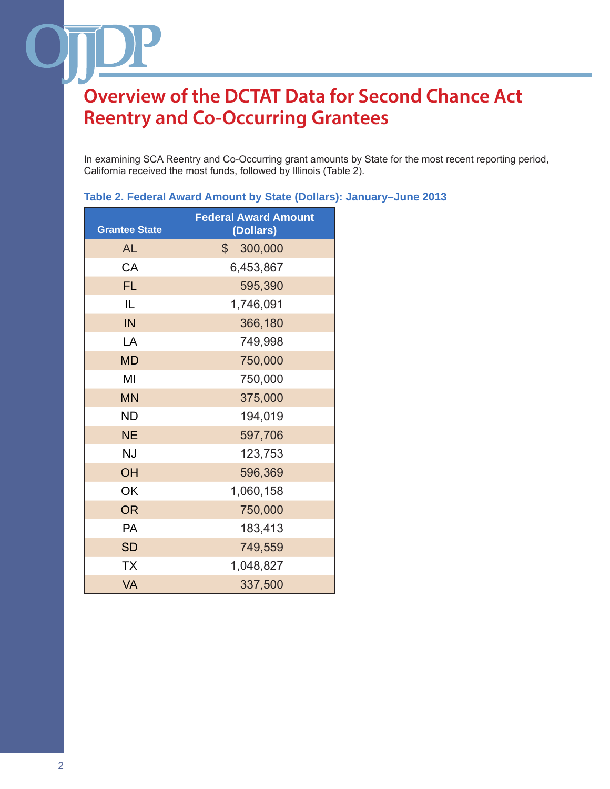In examining SCA Reentry and Co-Occurring grant amounts by State for the most recent reporting period, California received the most funds, followed by Illinois (Table 2).

| <b>Grantee State</b> | <b>Federal Award Amount</b><br>(Dollars) |
|----------------------|------------------------------------------|
| <b>AL</b>            | $\boldsymbol{\mathsf{S}}$<br>300,000     |
| CA                   | 6,453,867                                |
| <b>FL</b>            | 595,390                                  |
| IL                   | 1,746,091                                |
| IN                   | 366,180                                  |
| LA                   | 749,998                                  |
| <b>MD</b>            | 750,000                                  |
| MI                   | 750,000                                  |
| <b>MN</b>            | 375,000                                  |
| <b>ND</b>            | 194,019                                  |
| <b>NE</b>            | 597,706                                  |
| <b>NJ</b>            | 123,753                                  |
| OH                   | 596,369                                  |
| OK                   | 1,060,158                                |
| <b>OR</b>            | 750,000                                  |
| PA                   | 183,413                                  |
| <b>SD</b>            | 749,559                                  |
| <b>TX</b>            | 1,048,827                                |
| <b>VA</b>            | 337,500                                  |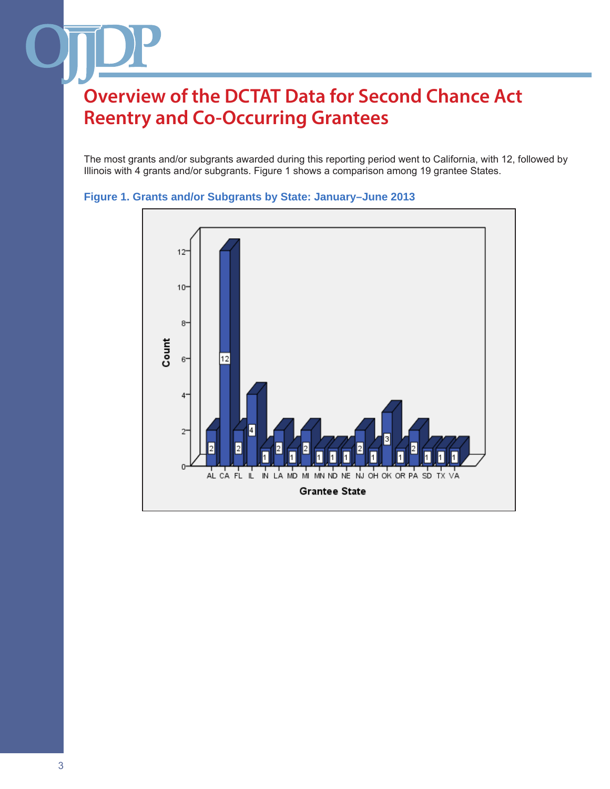The most grants and/or subgrants awarded during this reporting period went to California, with 12, followed by Illinois with 4 grants and/or subgrants. Figure 1 shows a comparison among 19 grantee States.



**Figure 1. Grants and/or Subgrants by State: January–June 2013**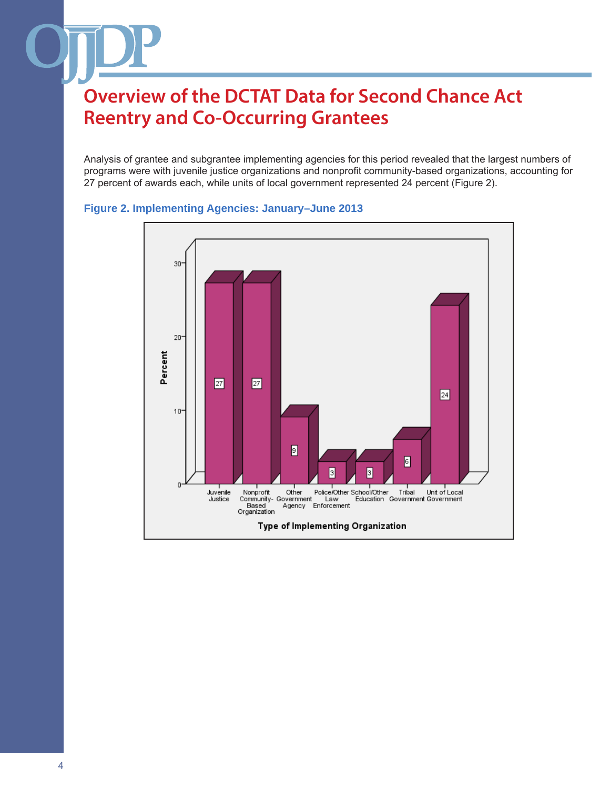Analysis of grantee and subgrantee implementing agencies for this period revealed that the largest numbers of programs were with juvenile justice organizations and nonprofit community-based organizations, accounting for 27 percent of awards each, while units of local government represented 24 percent (Figure 2).



#### **Figure 2. Implementing Agencies: January–June 2013**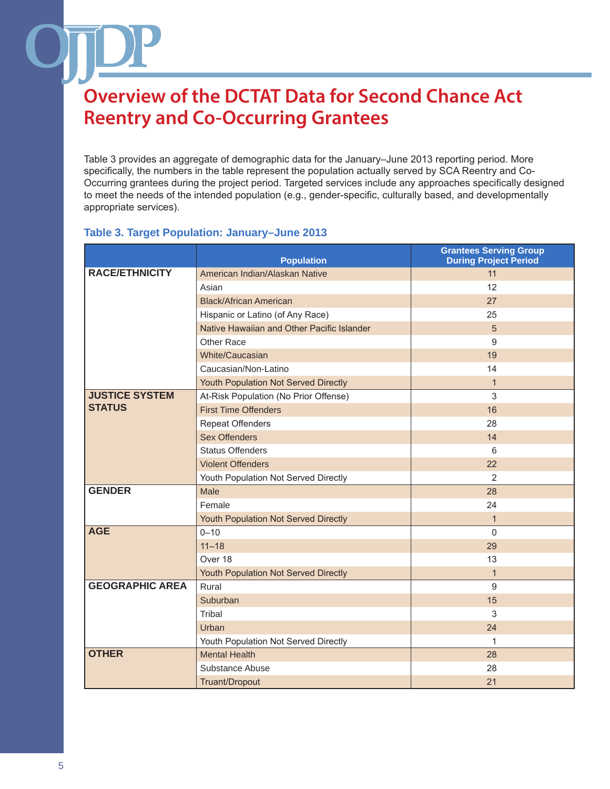Table 3 provides an aggregate of demographic data for the January–June 2013 reporting period. More specifically, the numbers in the table represent the population actually served by SCA Reentry and Co-Occurring grantees during the project period. Targeted services include any approaches specifically designed to meet the needs of the intended population (e.g., gender-specific, culturally based, and developmentally appropriate services).

#### **Table 3. Target Population: January–June 2013**

|                        | <b>Population</b>                          | <b>Grantees Serving Group</b><br><b>During Project Period</b> |
|------------------------|--------------------------------------------|---------------------------------------------------------------|
| <b>RACE/ETHNICITY</b>  | American Indian/Alaskan Native             | 11                                                            |
|                        | Asian                                      | 12                                                            |
|                        | <b>Black/African American</b>              | 27                                                            |
|                        | Hispanic or Latino (of Any Race)           | 25                                                            |
|                        | Native Hawaiian and Other Pacific Islander | 5                                                             |
|                        | Other Race                                 | 9                                                             |
|                        | White/Caucasian                            | 19                                                            |
|                        | Caucasian/Non-Latino                       | 14                                                            |
|                        | Youth Population Not Served Directly       | $\mathbf{1}$                                                  |
| <b>JUSTICE SYSTEM</b>  | At-Risk Population (No Prior Offense)      | 3                                                             |
| <b>STATUS</b>          | <b>First Time Offenders</b>                | 16                                                            |
|                        | <b>Repeat Offenders</b>                    | 28                                                            |
|                        | <b>Sex Offenders</b>                       | 14                                                            |
|                        | <b>Status Offenders</b>                    | 6                                                             |
|                        | <b>Violent Offenders</b>                   | 22                                                            |
|                        | Youth Population Not Served Directly       | 2                                                             |
| <b>GENDER</b>          | Male                                       | 28                                                            |
|                        | Female                                     | 24                                                            |
|                        | Youth Population Not Served Directly       | $\mathbf 1$                                                   |
| <b>AGE</b>             | $0 - 10$                                   | $\Omega$                                                      |
|                        | $11 - 18$                                  | 29                                                            |
|                        | Over 18                                    | 13                                                            |
|                        | Youth Population Not Served Directly       | $\mathbf{1}$                                                  |
| <b>GEOGRAPHIC AREA</b> | Rural                                      | 9                                                             |
|                        | Suburban                                   | 15                                                            |
|                        | Tribal                                     | 3                                                             |
|                        | Urban                                      | 24                                                            |
|                        | Youth Population Not Served Directly       | $\mathbf{1}$                                                  |
| <b>OTHER</b>           | <b>Mental Health</b>                       | 28                                                            |
|                        | Substance Abuse                            | 28                                                            |
|                        | Truant/Dropout                             | 21                                                            |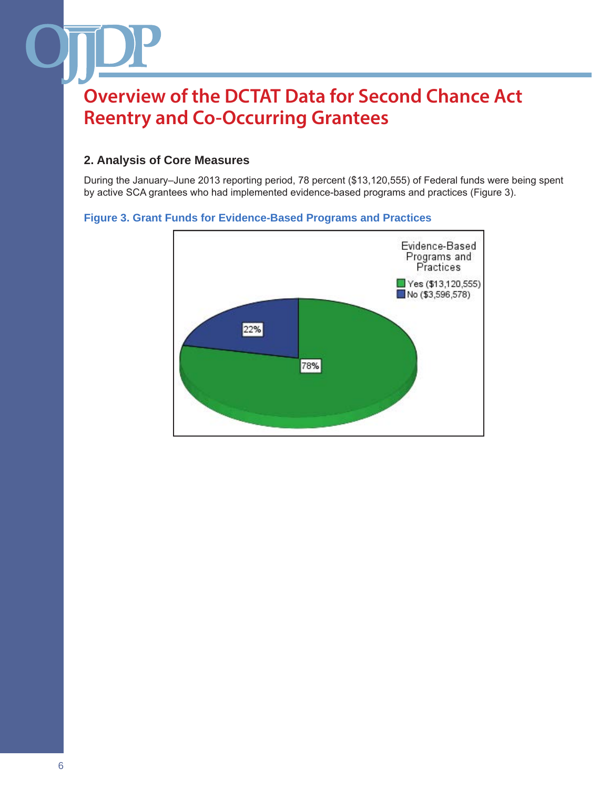### **2. Analysis of Core Measures**

During the January–June 2013 reporting period, 78 percent (\$13,120,555) of Federal funds were being spent by active SCA grantees who had implemented evidence-based programs and practices (Figure 3).

#### **Figure 3. Grant Funds for Evidence-Based Programs and Practices**

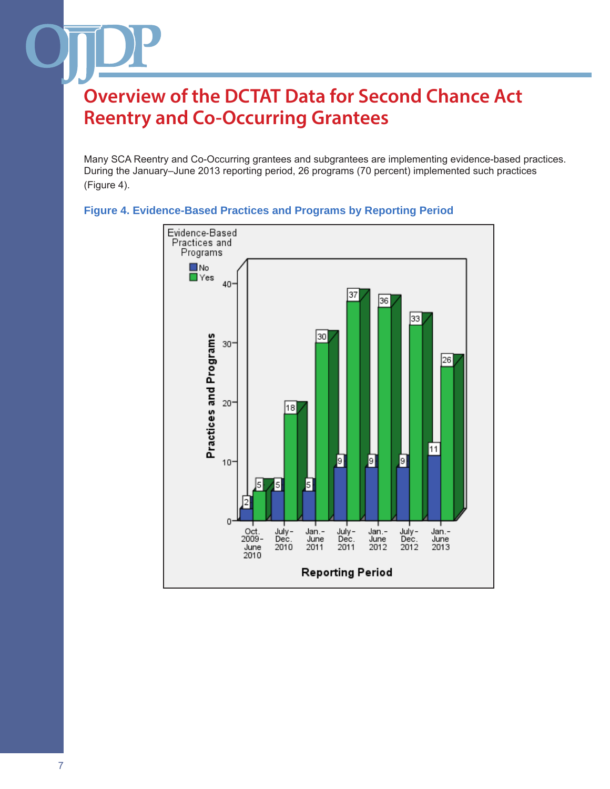Many SCA Reentry and Co-Occurring grantees and subgrantees are implementing evidence-based practices. During the January–June 2013 reporting period, 26 programs (70 percent) implemented such practices (Figure 4).



### **Figure 4. Evidence-Based Practices and Programs by Reporting Period**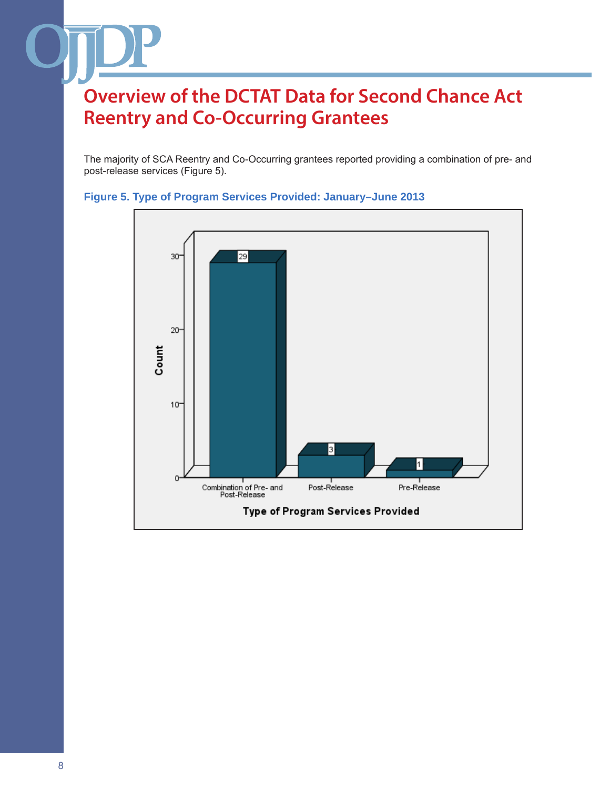The majority of SCA Reentry and Co-Occurring grantees reported providing a combination of pre- and post-release services (Figure 5).



#### **Figure 5. Type of Program Services Provided: January–June 2013**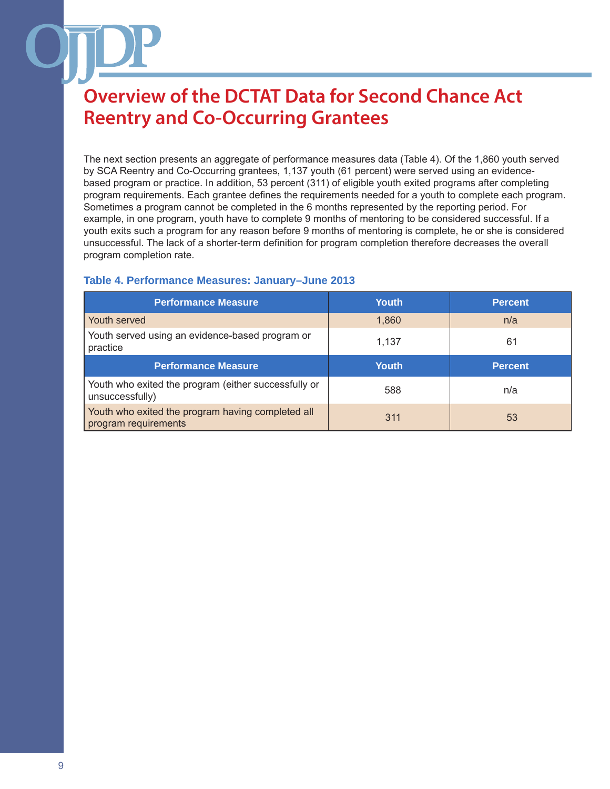The next section presents an aggregate of performance measures data (Table 4). Of the 1,860 youth served by SCA Reentry and Co-Occurring grantees, 1,137 youth (61 percent) were served using an evidencebased program or practice. In addition, 53 percent (311) of eligible youth exited programs after completing program requirements. Each grantee defines the requirements needed for a youth to complete each program. Sometimes a program cannot be completed in the 6 months represented by the reporting period. For example, in one program, youth have to complete 9 months of mentoring to be considered successful. If a youth exits such a program for any reason before 9 months of mentoring is complete, he or she is considered unsuccessful. The lack of a shorter-term definition for program completion therefore decreases the overall program completion rate.

#### **Table 4. Performance Measures: January–June 2013**

| <b>Performance Measure</b>                                                | Youth | <b>Percent</b> |
|---------------------------------------------------------------------------|-------|----------------|
| Youth served                                                              | 1,860 | n/a            |
| Youth served using an evidence-based program or<br>practice               | 1.137 | 61             |
| <b>Performance Measure</b>                                                | Youth | <b>Percent</b> |
| Youth who exited the program (either successfully or<br>unsuccessfully)   | 588   | n/a            |
| Youth who exited the program having completed all<br>program requirements | 311   | 53             |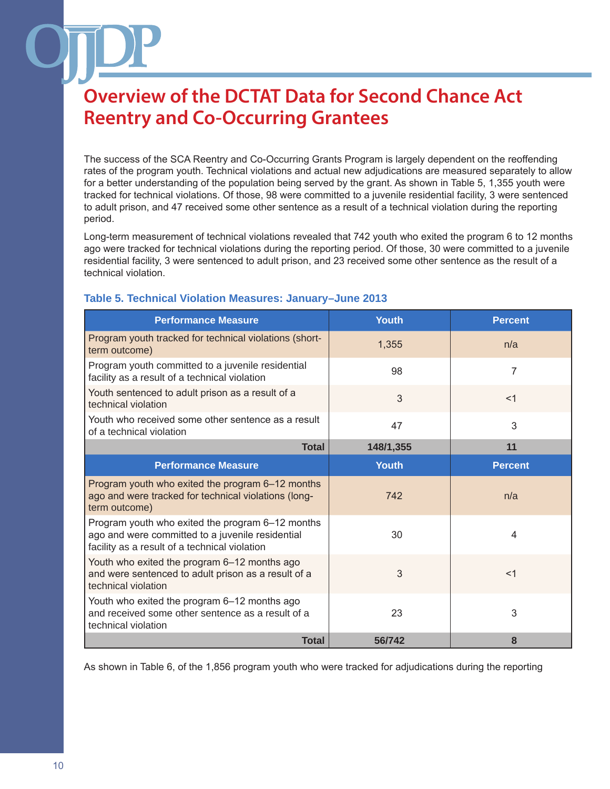The success of the SCA Reentry and Co-Occurring Grants Program is largely dependent on the reoffending rates of the program youth. Technical violations and actual new adjudications are measured separately to allow for a better understanding of the population being served by the grant. As shown in Table 5, 1,355 youth were tracked for technical violations. Of those, 98 were committed to a juvenile residential facility, 3 were sentenced to adult prison, and 47 received some other sentence as a result of a technical violation during the reporting period.

Long-term measurement of technical violations revealed that 742 youth who exited the program 6 to 12 months ago were tracked for technical violations during the reporting period. Of those, 30 were committed to a juvenile residential facility, 3 were sentenced to adult prison, and 23 received some other sentence as the result of a technical violation.

| <b>Performance Measure</b>                                                                                                                            | <b>Youth</b> | <b>Percent</b> |
|-------------------------------------------------------------------------------------------------------------------------------------------------------|--------------|----------------|
| Program youth tracked for technical violations (short-<br>term outcome)                                                                               | 1,355        | n/a            |
| Program youth committed to a juvenile residential<br>facility as a result of a technical violation                                                    | 98           | 7              |
| Youth sentenced to adult prison as a result of a<br>technical violation                                                                               | 3            | $<$ 1          |
| Youth who received some other sentence as a result<br>of a technical violation                                                                        | 47           | 3              |
| <b>Total</b>                                                                                                                                          | 148/1,355    | 11             |
| <b>Performance Measure</b>                                                                                                                            | <b>Youth</b> | <b>Percent</b> |
| Program youth who exited the program 6-12 months<br>ago and were tracked for technical violations (long-<br>term outcome)                             | 742          | n/a            |
| Program youth who exited the program 6–12 months<br>ago and were committed to a juvenile residential<br>facility as a result of a technical violation | 30           | 4              |
| Youth who exited the program 6-12 months ago<br>and were sentenced to adult prison as a result of a<br>technical violation                            | 3            | $<$ 1          |
| Youth who exited the program 6-12 months ago<br>and received some other sentence as a result of a<br>technical violation                              | 23           | 3              |
| <b>Total</b>                                                                                                                                          | 56/742       | 8              |

#### **Table 5. Technical Violation Measures: January–June 2013**

As shown in Table 6, of the 1,856 program youth who were tracked for adjudications during the reporting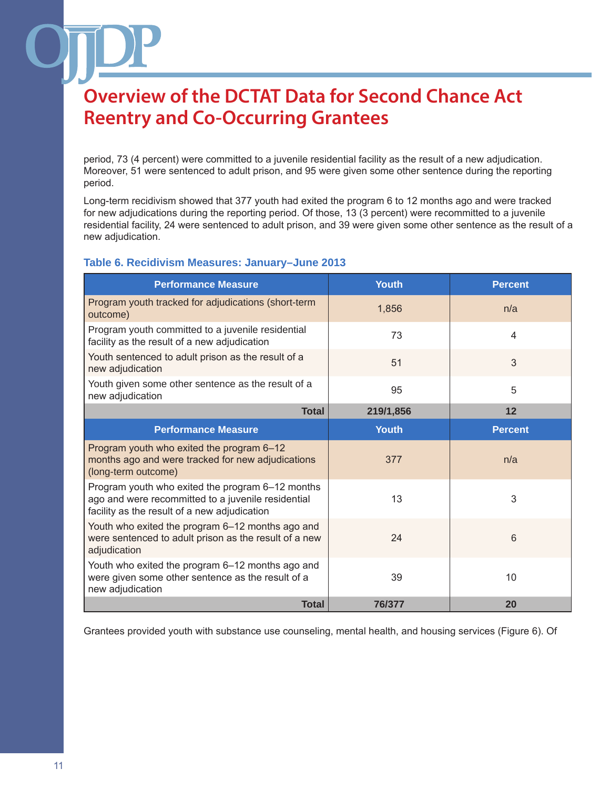period, 73 (4 percent) were committed to a juvenile residential facility as the result of a new adjudication. Moreover, 51 were sentenced to adult prison, and 95 were given some other sentence during the reporting period.

Long-term recidivism showed that 377 youth had exited the program 6 to 12 months ago and were tracked for new adjudications during the reporting period. Of those, 13 (3 percent) were recommitted to a juvenile residential facility, 24 were sentenced to adult prison, and 39 were given some other sentence as the result of a new adjudication.

#### **Table 6. Recidivism Measures: January–June 2013**

| <b>Performance Measure</b>                                                                                                                             | <b>Youth</b> | <b>Percent</b> |
|--------------------------------------------------------------------------------------------------------------------------------------------------------|--------------|----------------|
| Program youth tracked for adjudications (short-term<br>outcome)                                                                                        | 1,856        | n/a            |
| Program youth committed to a juvenile residential<br>facility as the result of a new adjudication                                                      | 73           | 4              |
| Youth sentenced to adult prison as the result of a<br>new adjudication                                                                                 | 51           | 3              |
| Youth given some other sentence as the result of a<br>new adjudication                                                                                 | 95           | 5              |
| <b>Total</b>                                                                                                                                           | 219/1,856    | 12             |
| <b>Performance Measure</b>                                                                                                                             | <b>Youth</b> | <b>Percent</b> |
| Program youth who exited the program 6-12<br>months ago and were tracked for new adjudications<br>(long-term outcome)                                  | 377          | n/a            |
| Program youth who exited the program 6-12 months<br>ago and were recommitted to a juvenile residential<br>facility as the result of a new adjudication | 13           | 3              |
| Youth who exited the program 6-12 months ago and<br>were sentenced to adult prison as the result of a new<br>adjudication                              | 24           | 6              |
| Youth who exited the program 6-12 months ago and<br>were given some other sentence as the result of a<br>new adjudication                              | 39           | 10             |
| <b>Total</b>                                                                                                                                           | 76/377       | 20             |

Grantees provided youth with substance use counseling, mental health, and housing services (Figure 6). Of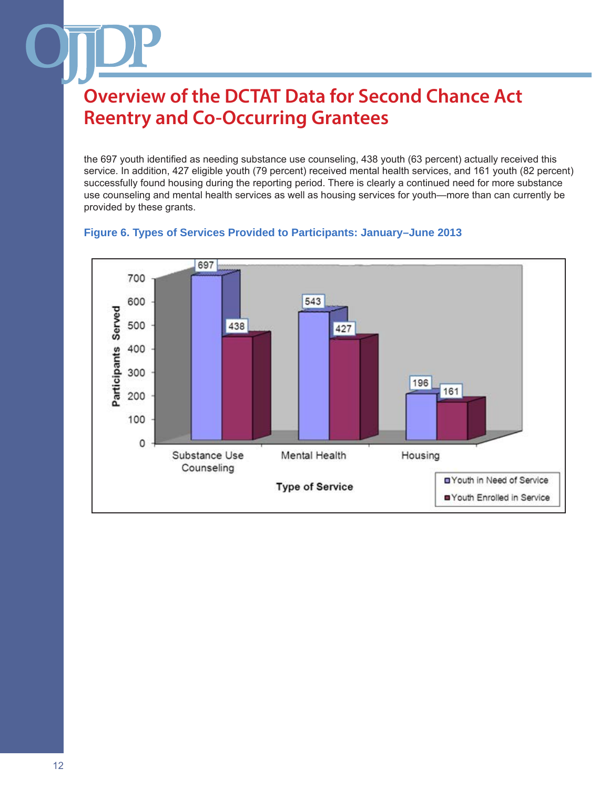the 697 youth identified as needing substance use counseling, 438 youth (63 percent) actually received this service. In addition, 427 eligible youth (79 percent) received mental health services, and 161 youth (82 percent) successfully found housing during the reporting period. There is clearly a continued need for more substance use counseling and mental health services as well as housing services for youth—more than can currently be provided by these grants.



#### **Figure 6. Types of Services Provided to Participants: January–June 2013**